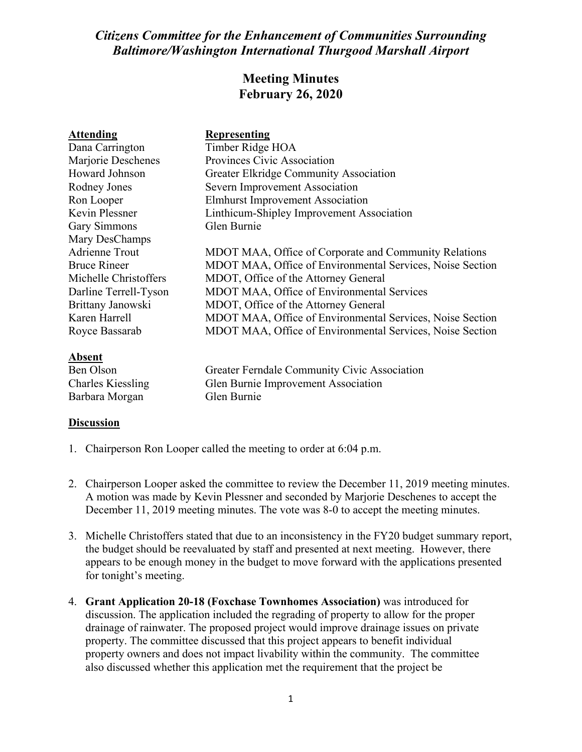## *Citizens Committee for the Enhancement of Communities Surrounding Baltimore/Washington International Thurgood Marshall Airport*

## **Meeting Minutes February 26, 2020**

| <b>Attending</b>         | <b>Representing</b>                                       |
|--------------------------|-----------------------------------------------------------|
| Dana Carrington          | Timber Ridge HOA                                          |
| Marjorie Deschenes       | Provinces Civic Association                               |
| Howard Johnson           | <b>Greater Elkridge Community Association</b>             |
| Rodney Jones             | Severn Improvement Association                            |
| Ron Looper               | <b>Elmhurst Improvement Association</b>                   |
| Kevin Plessner           | Linthicum-Shipley Improvement Association                 |
| <b>Gary Simmons</b>      | Glen Burnie                                               |
| Mary DesChamps           |                                                           |
| <b>Adrienne Trout</b>    | MDOT MAA, Office of Corporate and Community Relations     |
| <b>Bruce Rineer</b>      | MDOT MAA, Office of Environmental Services, Noise Section |
| Michelle Christoffers    | MDOT, Office of the Attorney General                      |
| Darline Terrell-Tyson    | <b>MDOT MAA, Office of Environmental Services</b>         |
| Brittany Janowski        | MDOT, Office of the Attorney General                      |
| Karen Harrell            | MDOT MAA, Office of Environmental Services, Noise Section |
| Royce Bassarab           | MDOT MAA, Office of Environmental Services, Noise Section |
| <u>Absent</u>            |                                                           |
| Ben Olson                | Greater Ferndale Community Civic Association              |
| <b>Charles Kiessling</b> | Glen Burnie Improvement Association                       |
| Barbara Morgan           | Glen Burnie                                               |

## **Discussion**

- 1. Chairperson Ron Looper called the meeting to order at 6:04 p.m.
- 2. Chairperson Looper asked the committee to review the December 11, 2019 meeting minutes. A motion was made by Kevin Plessner and seconded by Marjorie Deschenes to accept the December 11, 2019 meeting minutes. The vote was 8-0 to accept the meeting minutes.
- 3. Michelle Christoffers stated that due to an inconsistency in the FY20 budget summary report, the budget should be reevaluated by staff and presented at next meeting. However, there appears to be enough money in the budget to move forward with the applications presented for tonight's meeting.
- 4. **Grant Application 20-18 (Foxchase Townhomes Association)** was introduced for discussion. The application included the regrading of property to allow for the proper drainage of rainwater. The proposed project would improve drainage issues on private property. The committee discussed that this project appears to benefit individual property owners and does not impact livability within the community. The committee also discussed whether this application met the requirement that the project be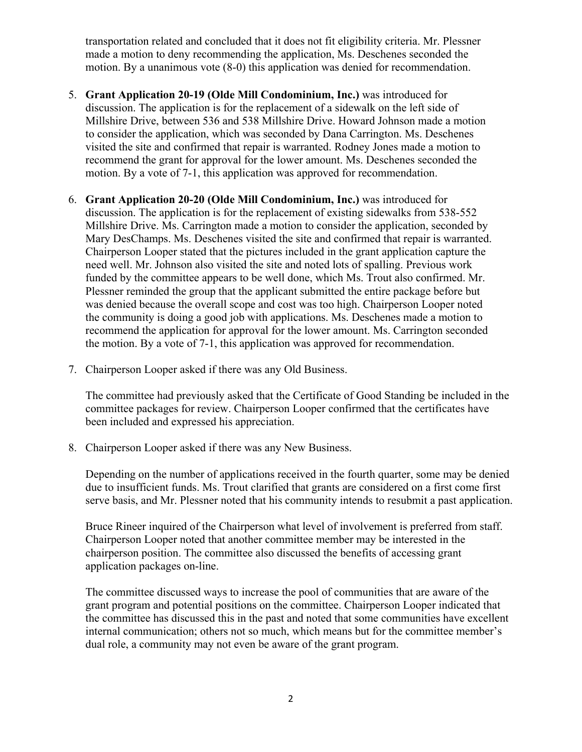transportation related and concluded that it does not fit eligibility criteria. Mr. Plessner made a motion to deny recommending the application, Ms. Deschenes seconded the motion. By a unanimous vote (8-0) this application was denied for recommendation.

- 5. **Grant Application 20-19 (Olde Mill Condominium, Inc.)** was introduced for discussion. The application is for the replacement of a sidewalk on the left side of Millshire Drive, between 536 and 538 Millshire Drive. Howard Johnson made a motion to consider the application, which was seconded by Dana Carrington. Ms. Deschenes visited the site and confirmed that repair is warranted. Rodney Jones made a motion to recommend the grant for approval for the lower amount. Ms. Deschenes seconded the motion. By a vote of 7-1, this application was approved for recommendation.
- 6. **Grant Application 20-20 (Olde Mill Condominium, Inc.)** was introduced for discussion. The application is for the replacement of existing sidewalks from 538-552 Millshire Drive. Ms. Carrington made a motion to consider the application, seconded by Mary DesChamps. Ms. Deschenes visited the site and confirmed that repair is warranted. Chairperson Looper stated that the pictures included in the grant application capture the need well. Mr. Johnson also visited the site and noted lots of spalling. Previous work funded by the committee appears to be well done, which Ms. Trout also confirmed. Mr. Plessner reminded the group that the applicant submitted the entire package before but was denied because the overall scope and cost was too high. Chairperson Looper noted the community is doing a good job with applications. Ms. Deschenes made a motion to recommend the application for approval for the lower amount. Ms. Carrington seconded the motion. By a vote of 7-1, this application was approved for recommendation.
- 7. Chairperson Looper asked if there was any Old Business.

The committee had previously asked that the Certificate of Good Standing be included in the committee packages for review. Chairperson Looper confirmed that the certificates have been included and expressed his appreciation.

8. Chairperson Looper asked if there was any New Business.

Depending on the number of applications received in the fourth quarter, some may be denied due to insufficient funds. Ms. Trout clarified that grants are considered on a first come first serve basis, and Mr. Plessner noted that his community intends to resubmit a past application.

Bruce Rineer inquired of the Chairperson what level of involvement is preferred from staff. Chairperson Looper noted that another committee member may be interested in the chairperson position. The committee also discussed the benefits of accessing grant application packages on-line.

The committee discussed ways to increase the pool of communities that are aware of the grant program and potential positions on the committee. Chairperson Looper indicated that the committee has discussed this in the past and noted that some communities have excellent internal communication; others not so much, which means but for the committee member's dual role, a community may not even be aware of the grant program.